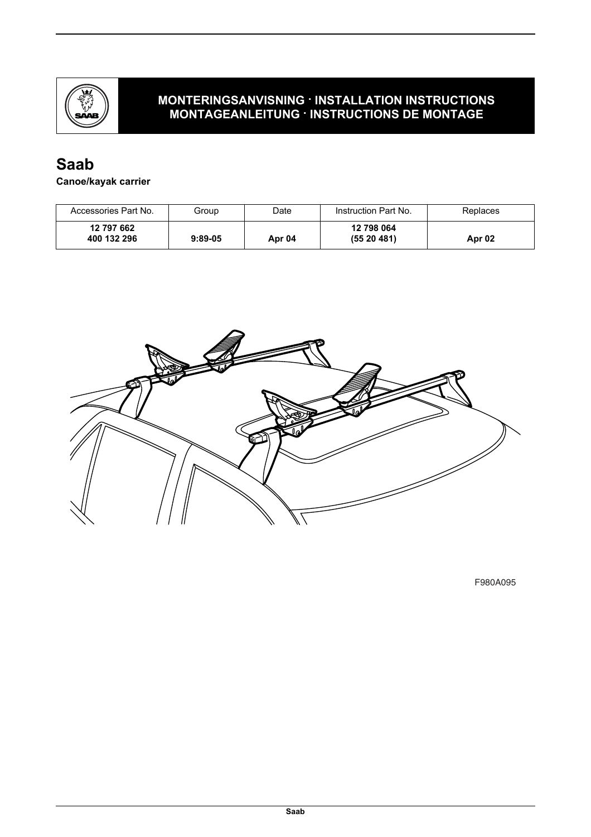

### **MONTERINGSANVISNING · INSTALLATION INSTRUCTIONS MONTAGEANLEITUNG · INSTRUCTIONS DE MONTAGE**

# **Saab**

### **Canoe/kayak carrier**

| Accessories Part No.      | Group     | Date   | Instruction Part No.    | Replaces |
|---------------------------|-----------|--------|-------------------------|----------|
| 12 797 662<br>400 132 296 | $9:89-05$ | Apr 04 | 12 798 064<br>(5520481) | Apr 02   |



F980A095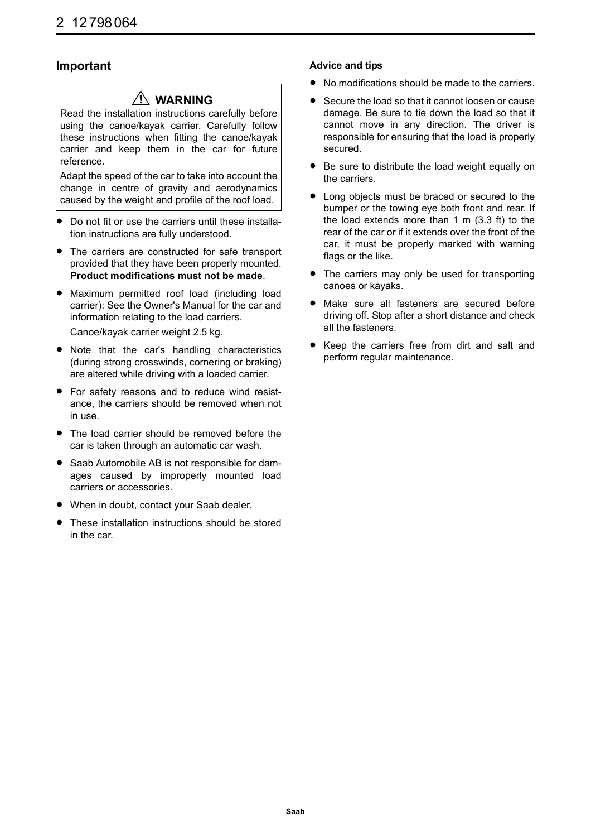#### **Important**

## **WARNING**

Read the installation instructions carefully before using the canoe/kayak carrier. Carefully follow these instructions when fitting the canoe/kayak carrier and keep them in the car for future reference.

Adapt the speed of the car to take into account the change in centre of gravity and aerodynamics caused by the weight and profile of the roof load.

- Do not fit or use the carriers until these installation instructions are fully understood.
- The carriers are constructed for safe transport provided that they have been properly mounted. **Product modifications must not be made**.
- Maximum permitted roof load (including load carrier): See the Owner's Manual for the car and information relating to the load carriers. Canoe/kayak carrier weight 2.5 kg.
- Note that the car's handling characteristics (during strong crosswinds, cornering or braking) are altered while driving with a loaded carrier.
- For safety reasons and to reduce wind resistance, the carriers should be removed when not in use.
- The load carrier should be removed before the car is taken through an automatic car wash.
- Saab Automobile AB is not responsible for damages caused by improperly mounted load carriers or accessories.
- When in doubt, contact your Saab dealer.
- These installation instructions should be stored in the car.

#### **Advice and tips**

- No modifications should be made to the carriers.
- Secure the load so that it cannot loosen or cause damage. Be sure to tie down the load so that it cannot move in any direction. The driver is responsible for ensuring that the load is properly secured.
- Be sure to distribute the load weight equally on the carriers.
- Long objects must be braced or secured to the bumper or the towing eye both front and rear. If the load extends more than 1 m (3.3 ft) to the rear of the car or if it extends over the front of the car, it must be properly marked with warning flags or the like.
- The carriers may only be used for transporting canoes or kayaks.
- Make sure all fasteners are secured before driving off. Stop after a short distance and check all the fasteners.
- Keep the carriers free from dirt and salt and perform regular maintenance.